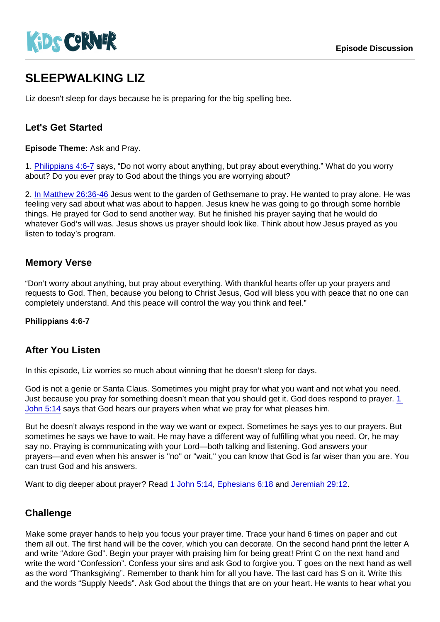# SI FFPWALKING LIZ

Liz doesn't sleep for days because he is preparing for the big spelling bee.

## Let's Get Started

Episode Theme: Ask and Pray.

1. [Philippians 4:6-7](https://www.biblegateway.com/passage/?search=Philippians+4:6-7) says, "Do not worry about anything, but pray about everything." What do you worry about? Do you ever pray to God about the things you are worrying about?

2. [In Matthew 26:36-46](https://www.biblegateway.com/passage/?search=Matthew+26:36-46) Jesus went to the garden of Gethsemane to pray. He wanted to pray alone. He was feeling very sad about what was about to happen. Jesus knew he was going to go through some horrible things. He prayed for God to send another way. But he finished his prayer saying that he would do whatever God's will was. Jesus shows us prayer should look like. Think about how Jesus prayed as you listen to today's program.

## Memory Verse

"Don't worry about anything, but pray about everything. With thankful hearts offer up your prayers and requests to God. Then, because you belong to Christ Jesus, God will bless you with peace that no one can completely understand. And this peace will control the way you think and feel."

Philippians 4:6-7

#### After You Listen

In this episode, Liz worries so much about winning that he doesn't sleep for days.

God is not a genie or Santa Claus. Sometimes you might pray for what you want and not what you need. Just because you pray for something doesn't mean that you should get it. God does respond to prayer. 1 [John 5:14](https://www.biblegateway.com/passage/?search=1+John+5:14) says that God hears our prayers when what we pray for what pleases him.

But he doesn't always respond in the way we want or expect. Sometimes he says yes to our prayers. But sometimes he says we have to wait. He may have a different way of fulfilling what you need. Or, he may say no. Praying is communicating with your Lord—both talking and listening. God answers your prayers—and even when his answer is "no" or "wait," you can know that God is far wiser than you are. You can trust God and his answers.

Want to dig deeper about prayer? Read [1 John 5:14,](https://www.biblegateway.com/passage/?search=1+John+5:14) [Ephesians 6:18](https://www.biblegateway.com/passage/?search=Ephesians+6:18) and [Jeremiah 29:12.](https://www.biblegateway.com/passage/?search=Jeremiah+29:12)

#### **Challenge**

Make some prayer hands to help you focus your prayer time. Trace your hand 6 times on paper and cut them all out. The first hand will be the cover, which you can decorate. On the second hand print the letter A and write "Adore God". Begin your prayer with praising him for being great! Print C on the next hand and write the word "Confession". Confess your sins and ask God to forgive you. T goes on the next hand as well as the word "Thanksgiving". Remember to thank him for all you have. The last card has S on it. Write this and the words "Supply Needs". Ask God about the things that are on your heart. He wants to hear what you